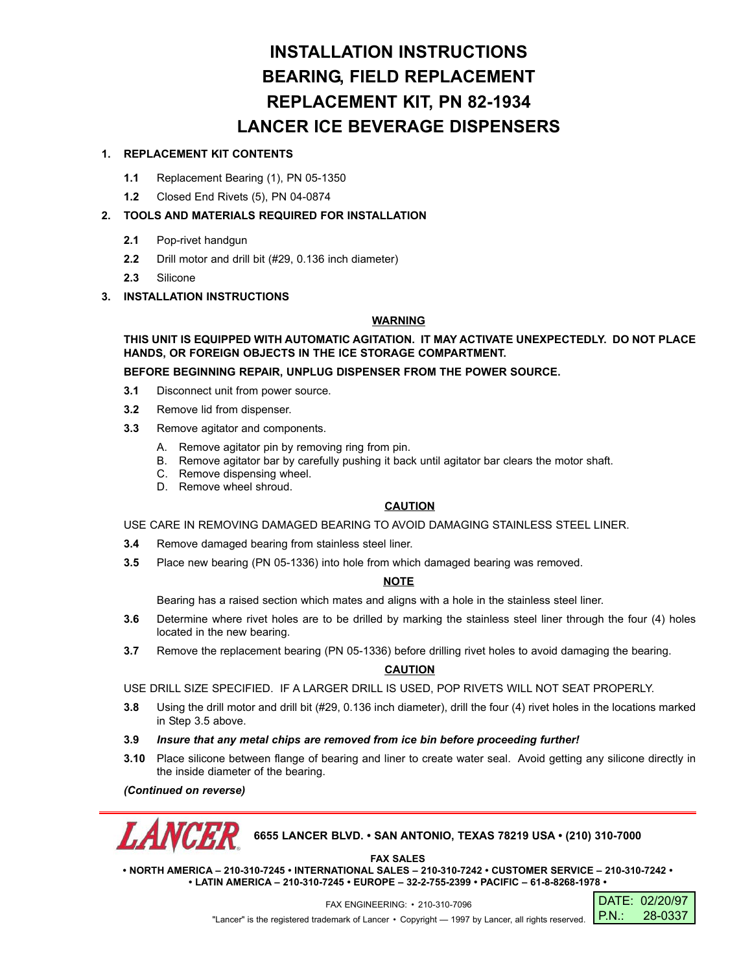# **INSTALLATION INSTRUCTIONS BEARING, FIELD REPLACEMENT REPLACEMENT KIT, PN 82-1934 LANCER ICE BEVERAGE DISPENSERS**

## **1. REPLACEMENT KIT CONTENTS**

- **1.1** Replacement Bearing (1), PN 05-1350
- **1.2** Closed End Rivets (5), PN 04-0874

### **2. TOOLS AND MATERIALS REQUIRED FOR INSTALLATION**

- **2.1** Pop-rivet handgun
- **2.2** Drill motor and drill bit (#29, 0.136 inch diameter)
- **2.3** Silicone

#### **3. INSTALLATION INSTRUCTIONS**

#### **WARNING**

**THIS UNIT IS EQUIPPED WITH AUTOMATIC AGITATION. IT MAY ACTIVATE UNEXPECTEDLY. DO NOT PLACE HANDS, OR FOREIGN OBJECTS IN THE ICE STORAGE COMPARTMENT.**

**BEFORE BEGINNING REPAIR, UNPLUG DISPENSER FROM THE POWER SOURCE.**

- **3.1** Disconnect unit from power source.
- **3.2** Remove lid from dispenser.
- **3.3** Remove agitator and components.
	- A. Remove agitator pin by removing ring from pin.
	- B. Remove agitator bar by carefully pushing it back until agitator bar clears the motor shaft.
	- C. Remove dispensing wheel.
	- D. Remove wheel shroud.

#### **CAUTION**

USE CARE IN REMOVING DAMAGED BEARING TO AVOID DAMAGING STAINLESS STEEL LINER.

- **3.4** Remove damaged bearing from stainless steel liner.
- **3.5** Place new bearing (PN 05-1336) into hole from which damaged bearing was removed.

#### **NOTE**

Bearing has a raised section which mates and aligns with a hole in the stainless steel liner.

- **3.6** Determine where rivet holes are to be drilled by marking the stainless steel liner through the four (4) holes located in the new bearing.
- **3.7** Remove the replacement bearing (PN 05-1336) before drilling rivet holes to avoid damaging the bearing.

### **CAUTION**

USE DRILL SIZE SPECIFIED. IF A LARGER DRILL IS USED, POP RIVETS WILL NOT SEAT PROPERLY.

- **3.8** Using the drill motor and drill bit (#29, 0.136 inch diameter), drill the four (4) rivet holes in the locations marked in Step 3.5 above.
- **3.9** *Insure that any metal chips are removed from ice bin before proceeding further!*
- **3.10** Place silicone between flange of bearing and liner to create water seal. Avoid getting any silicone directly in the inside diameter of the bearing.

*(Continued on reverse)*



### **6655 LANCER BLVD. • SAN ANTONIO, TEXAS 78219 USA • (210) 310-7000**

**FAX SALES**

**• NORTH AMERICA – 210-310-7245 • INTERNATIONAL SALES – 210-310-7242 • CUSTOMER SERVICE – 210-310-7242 • • LATIN AMERICA – 210-310-7245 • EUROPE – 32-2-755-2399 • PACIFIC – 61-8-8268-1978 •**

> DATE: 02/20/97 P.N.: 28-0337

FAX ENGINEERING: • 210-310-7096 "Lancer" is the registered trademark of Lancer • Copyright - 1997 by Lancer, all rights reserved.